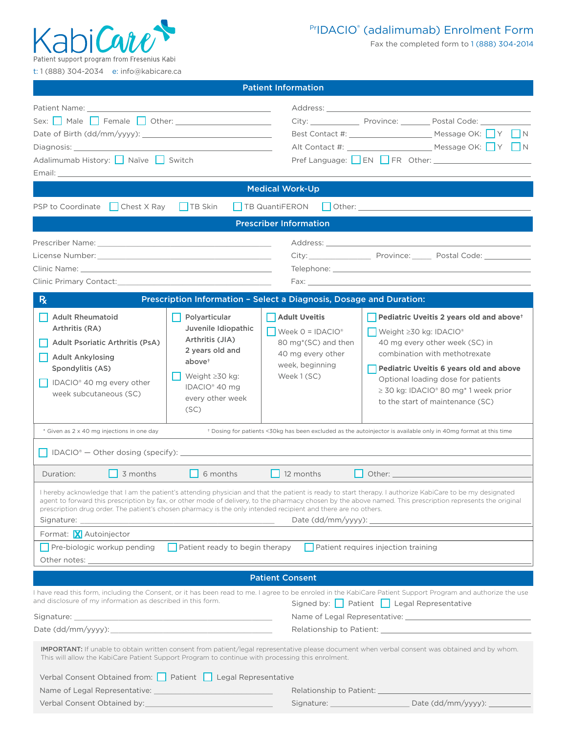

## PrIDACIO® (adalimumab) Enrolment Form

Fax the completed form to 1 (888) 304-2014

t: 1 (888) 304-2034 e: info@kabicare.ca

|                                                                                                                                                                                                                                      |                                                   | <b>Patient Information</b>                                          |                                                                                                                                                                                                                                |  |
|--------------------------------------------------------------------------------------------------------------------------------------------------------------------------------------------------------------------------------------|---------------------------------------------------|---------------------------------------------------------------------|--------------------------------------------------------------------------------------------------------------------------------------------------------------------------------------------------------------------------------|--|
|                                                                                                                                                                                                                                      |                                                   |                                                                     |                                                                                                                                                                                                                                |  |
| Sex: Male Female Other: _____________________                                                                                                                                                                                        |                                                   |                                                                     | City: Province: Province: Postal Code: 2000                                                                                                                                                                                    |  |
|                                                                                                                                                                                                                                      |                                                   |                                                                     |                                                                                                                                                                                                                                |  |
| Diagnosis: Diagnosis and the control of the control of the control of the control of the control of the control of the control of the control of the control of the control of the control of the control of the control of th       |                                                   |                                                                     |                                                                                                                                                                                                                                |  |
| Adalimumab History: Naïve Switch                                                                                                                                                                                                     |                                                   |                                                                     |                                                                                                                                                                                                                                |  |
| Email: <u>Email: Email: Email: Email: Email: Email: Email: Email: Email: Email: Email: Email: Email: Email: Email: Email: Email: Email: Email: Email: Email: Email: Email: Email: Email: Email: Email: Email: Email: Email: Emai</u> |                                                   |                                                                     |                                                                                                                                                                                                                                |  |
|                                                                                                                                                                                                                                      |                                                   | <b>Medical Work-Up</b>                                              |                                                                                                                                                                                                                                |  |
| $\Box$ Chest X Ray<br>PSP to Coordinate                                                                                                                                                                                              | $\Box$ TB Skin                                    | TB QuantiFERON                                                      | Other: Committee of the Committee of the Committee of the Committee of the Committee of the Committee of the Committee of the Committee of the Committee of the Committee of the Committee of the Committee of the Committee o |  |
|                                                                                                                                                                                                                                      |                                                   | <b>Prescriber Information</b>                                       |                                                                                                                                                                                                                                |  |
|                                                                                                                                                                                                                                      |                                                   |                                                                     |                                                                                                                                                                                                                                |  |
|                                                                                                                                                                                                                                      |                                                   |                                                                     | City: Province: Postal Code: City:                                                                                                                                                                                             |  |
|                                                                                                                                                                                                                                      |                                                   |                                                                     |                                                                                                                                                                                                                                |  |
| Clinic Primary Contact: with a state of the control of the control of the control of the control of the control of the control of the control of the control of the control of the control of the control of the control of th       |                                                   |                                                                     |                                                                                                                                                                                                                                |  |
|                                                                                                                                                                                                                                      |                                                   |                                                                     |                                                                                                                                                                                                                                |  |
| $R_{x}$                                                                                                                                                                                                                              |                                                   | Prescription Information - Select a Diagnosis, Dosage and Duration: |                                                                                                                                                                                                                                |  |
| <b>Adult Rheumatoid</b>                                                                                                                                                                                                              | Polyarticular                                     | <b>Adult Uveitis</b>                                                | Pediatric Uveitis 2 years old and above <sup>+</sup>                                                                                                                                                                           |  |
| Arthritis (RA)                                                                                                                                                                                                                       | Juvenile Idiopathic                               | $\bigcup$ Week O = IDACIO <sup>®</sup>                              | Weight $\geq 30$ kg: IDACIO <sup>®</sup>                                                                                                                                                                                       |  |
| Adult Psoriatic Arthritis (PsA)                                                                                                                                                                                                      | Arthritis (JIA)                                   | 80 mg*(SC) and then                                                 | 40 mg every other week (SC) in                                                                                                                                                                                                 |  |
| <b>Adult Ankylosing</b>                                                                                                                                                                                                              | 2 years old and<br>above <sup>+</sup>             | 40 mg every other                                                   | combination with methotrexate                                                                                                                                                                                                  |  |
| Spondylitis (AS)                                                                                                                                                                                                                     |                                                   | week, beginning                                                     | <b>Pediatric Uveitis 6 years old and above</b>                                                                                                                                                                                 |  |
| IDACIO <sup>®</sup> 40 mg every other                                                                                                                                                                                                | Weight $\geq 30$ kg:<br>IDACIO <sup>®</sup> 40 mg | Week 1 (SC)                                                         | Optional loading dose for patients                                                                                                                                                                                             |  |
| week subcutaneous (SC)                                                                                                                                                                                                               | every other week                                  |                                                                     | $\geq$ 30 kg: IDACIO® 80 mg* 1 week prior                                                                                                                                                                                      |  |
|                                                                                                                                                                                                                                      | (SC)                                              |                                                                     | to the start of maintenance (SC)                                                                                                                                                                                               |  |
|                                                                                                                                                                                                                                      |                                                   |                                                                     |                                                                                                                                                                                                                                |  |
| * Given as 2 x 40 mg injections in one day                                                                                                                                                                                           |                                                   |                                                                     | + Dosing for patients <30kg has been excluded as the autoinjector is available only in 40mg format at this time                                                                                                                |  |
|                                                                                                                                                                                                                                      |                                                   |                                                                     |                                                                                                                                                                                                                                |  |
| 3 months<br>Duration:                                                                                                                                                                                                                | 6 months                                          | 12 months                                                           | Other: and the contract of the contract of the contract of the contract of the contract of the contract of the                                                                                                                 |  |
|                                                                                                                                                                                                                                      |                                                   |                                                                     |                                                                                                                                                                                                                                |  |
|                                                                                                                                                                                                                                      |                                                   |                                                                     | I hereby acknowledge that I am the patient's attending physician and that the patient is ready to start therapy. I authorize KabiCare to be my designated                                                                      |  |
| prescription drug order. The patient's chosen pharmacy is the only intended recipient and there are no others.                                                                                                                       |                                                   |                                                                     | agent to forward this prescription by fax, or other mode of delivery, to the pharmacy chosen by the above named. This prescription represents the original                                                                     |  |
|                                                                                                                                                                                                                                      |                                                   |                                                                     |                                                                                                                                                                                                                                |  |
| Format: X Autoinjector                                                                                                                                                                                                               |                                                   |                                                                     |                                                                                                                                                                                                                                |  |
| Pre-biologic workup pending                                                                                                                                                                                                          | $\Box$ Patient ready to begin therapy             |                                                                     | $\Box$ Patient requires injection training                                                                                                                                                                                     |  |
|                                                                                                                                                                                                                                      |                                                   |                                                                     |                                                                                                                                                                                                                                |  |
|                                                                                                                                                                                                                                      |                                                   | <b>Patient Consent</b>                                              |                                                                                                                                                                                                                                |  |
|                                                                                                                                                                                                                                      |                                                   |                                                                     |                                                                                                                                                                                                                                |  |
| and disclosure of my information as described in this form.                                                                                                                                                                          |                                                   |                                                                     | I have read this form, including the Consent, or it has been read to me. I agree to be enroled in the KabiCare Patient Support Program and authorize the use<br>Signed by: Patient   Legal Representative                      |  |
|                                                                                                                                                                                                                                      |                                                   |                                                                     |                                                                                                                                                                                                                                |  |
| Date $(dd/mm/yyyy)$ :                                                                                                                                                                                                                |                                                   |                                                                     | Relationship to Patient: Note that the set of the set of the set of the set of the set of the set of the set o                                                                                                                 |  |
|                                                                                                                                                                                                                                      |                                                   |                                                                     |                                                                                                                                                                                                                                |  |
| This will allow the KabiCare Patient Support Program to continue with processing this enrolment.                                                                                                                                     |                                                   |                                                                     | <b>IMPORTANT:</b> If unable to obtain written consent from patient/legal representative please document when verbal consent was obtained and by whom.                                                                          |  |
| Verbal Consent Obtained from: Patient   Legal Representative                                                                                                                                                                         |                                                   |                                                                     |                                                                                                                                                                                                                                |  |
|                                                                                                                                                                                                                                      |                                                   |                                                                     |                                                                                                                                                                                                                                |  |
|                                                                                                                                                                                                                                      |                                                   |                                                                     |                                                                                                                                                                                                                                |  |